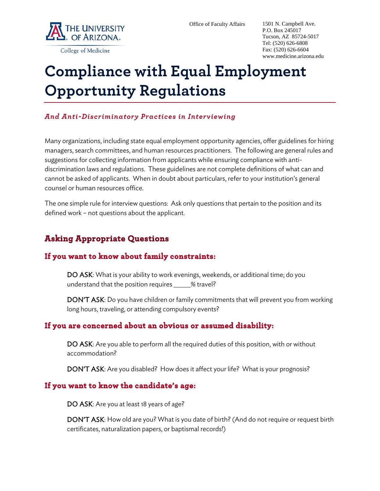

P.O. Box 245017 Tucson, AZ 85724-5017 Tel: (520) 626-6808 Fax: (520) 626-6604 www.medicine.arizona.edu

#### College of Medicine

# **Compliance with Equal Employment Opportunity Regulations**

#### *And Anti-Discriminatory Practices in Interviewing*

Many organizations, including state equal employment opportunity agencies, offer guidelines for hiring managers, search committees, and human resources practitioners. The following are general rules and suggestions for collecting information from applicants while ensuring compliance with antidiscrimination laws and regulations. These guidelines are not complete definitions of what can and cannot be asked of applicants. When in doubt about particulars, refer to your institution's general counsel or human resources office.

The one simple rule for interview questions: Ask only questions that pertain to the position and its defined work – not questions about the applicant.

# **Asking Appropriate Questions**

## **If you want to know about family constraints:**

DO ASK: What is your ability to work evenings, weekends, or additional time; do you understand that the position requires  $%$  travel?

DON'T ASK: Do you have children or family commitments that will prevent you from working long hours, traveling, or attending compulsory events?

## **If you are concerned about an obvious or assumed disability:**

DO ASK: Are you able to perform all the required duties of this position, with or without accommodation?

DON'T ASK: Are you disabled? How does it affect your life? What is your prognosis?

#### **If you want to know the candidate's age:**

DO ASK: Are you at least 18 years of age?

DON'T ASK: How old are you? What is you date of birth? (And do not require or request birth certificates, naturalization papers, or baptismal records!)